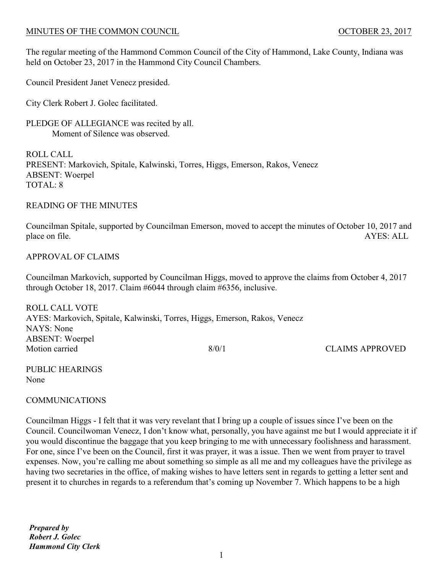### MINUTES OF THE COMMON COUNCIL **COUNCIL COUNCIL COUNCIL COUNCIL COUNCIL COUNCIL**

The regular meeting of the Hammond Common Council of the City of Hammond, Lake County, Indiana was held on October 23, 2017 in the Hammond City Council Chambers.

Council President Janet Venecz presided.

City Clerk Robert J. Golec facilitated.

PLEDGE OF ALLEGIANCE was recited by all. Moment of Silence was observed.

ROLL CALL PRESENT: Markovich, Spitale, Kalwinski, Torres, Higgs, Emerson, Rakos, Venecz ABSENT: Woerpel TOTAL: 8

#### READING OF THE MINUTES

Councilman Spitale, supported by Councilman Emerson, moved to accept the minutes of October 10, 2017 and place on file. AYES: ALL

## APPROVAL OF CLAIMS

Councilman Markovich, supported by Councilman Higgs, moved to approve the claims from October 4, 2017 through October 18, 2017. Claim #6044 through claim #6356, inclusive.

ROLL CALL VOTE AYES: Markovich, Spitale, Kalwinski, Torres, Higgs, Emerson, Rakos, Venecz NAYS: None ABSENT: Woerpel Motion carried 8/0/1 CLAIMS APPROVED

PUBLIC HEARINGS None

# COMMUNICATIONS

Councilman Higgs - I felt that it was very revelant that I bring up a couple of issues since I've been on the Council. Councilwoman Venecz, I don't know what, personally, you have against me but I would appreciate it if you would discontinue the baggage that you keep bringing to me with unnecessary foolishness and harassment. For one, since I've been on the Council, first it was prayer, it was a issue. Then we went from prayer to travel expenses. Now, you're calling me about something so simple as all me and my colleagues have the privilege as having two secretaries in the office, of making wishes to have letters sent in regards to getting a letter sent and present it to churches in regards to a referendum that's coming up November 7. Which happens to be a high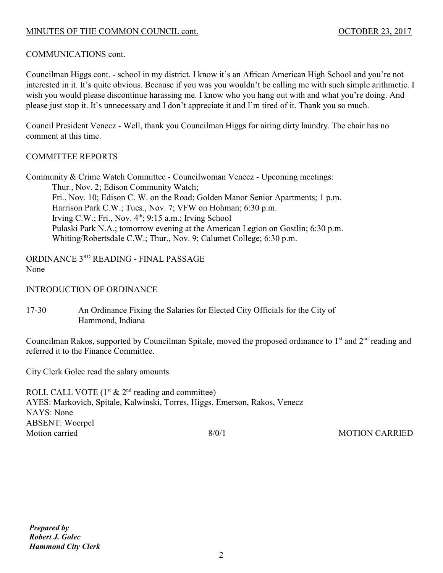# MINUTES OF THE COMMON COUNCIL cont. 0CTOBER 23, 2017

## COMMUNICATIONS cont.

Councilman Higgs cont. - school in my district. I know it's an African American High School and you're not interested in it. It's quite obvious. Because if you was you wouldn't be calling me with such simple arithmetic. I wish you would please discontinue harassing me. I know who you hang out with and what you're doing. And please just stop it. It's unnecessary and I don't appreciate it and I'm tired of it. Thank you so much.

Council President Venecz - Well, thank you Councilman Higgs for airing dirty laundry. The chair has no comment at this time.

#### COMMITTEE REPORTS

Community & Crime Watch Committee - Councilwoman Venecz - Upcoming meetings: Thur., Nov. 2; Edison Community Watch; Fri., Nov. 10; Edison C. W. on the Road; Golden Manor Senior Apartments; 1 p.m. Harrison Park C.W.; Tues., Nov. 7; VFW on Hohman; 6:30 p.m. Irving C.W.; Fri., Nov.  $4<sup>th</sup>$ ; 9:15 a.m.; Irving School Pulaski Park N.A.; tomorrow evening at the American Legion on Gostlin; 6:30 p.m. Whiting/Robertsdale C.W.; Thur., Nov. 9; Calumet College; 6:30 p.m.

ORDINANCE 3RD READING - FINAL PASSAGE None

INTRODUCTION OF ORDINANCE

17-30 An Ordinance Fixing the Salaries for Elected City Officials for the City of Hammond, Indiana

Councilman Rakos, supported by Councilman Spitale, moved the proposed ordinance to  $1<sup>st</sup>$  and  $2<sup>nd</sup>$  reading and referred it to the Finance Committee.

City Clerk Golec read the salary amounts.

ROLL CALL VOTE  $(1<sup>st</sup> & 2<sup>nd</sup> reading and committee)$ AYES: Markovich, Spitale, Kalwinski, Torres, Higgs, Emerson, Rakos, Venecz NAYS: None ABSENT: Woerpel Motion carried and the state of the state of the state of the state of the MOTION CARRIED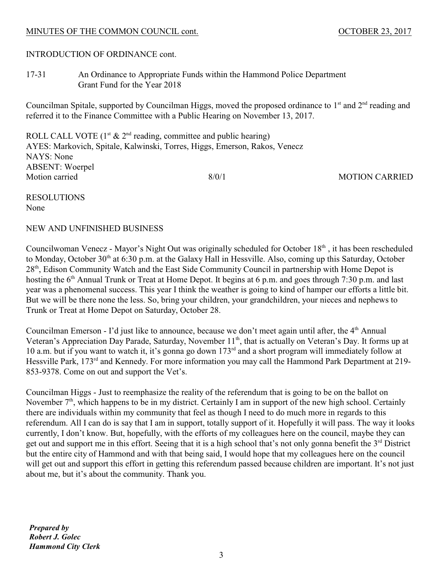### MINUTES OF THE COMMON COUNCIL cont.  $OCTOBER\ 23, 2017$

INTRODUCTION OF ORDINANCE cont.

17-31 An Ordinance to Appropriate Funds within the Hammond Police Department Grant Fund for the Year 2018

Councilman Spitale, supported by Councilman Higgs, moved the proposed ordinance to  $1<sup>st</sup>$  and  $2<sup>nd</sup>$  reading and referred it to the Finance Committee with a Public Hearing on November 13, 2017.

ROLL CALL VOTE  $(1<sup>st</sup> & 2<sup>nd</sup> reading, committee and public hearing)$ AYES: Markovich, Spitale, Kalwinski, Torres, Higgs, Emerson, Rakos, Venecz NAYS: None ABSENT: Woerpel Motion carried and the state of the state of the state of the state of the MOTION CARRIED

RESOLUTIONS None

# NEW AND UNFINISHED BUSINESS

Councilwoman Venecz - Mayor's Night Out was originally scheduled for October 18<sup>th</sup>, it has been rescheduled to Monday, October 30<sup>th</sup> at 6:30 p.m. at the Galaxy Hall in Hessville. Also, coming up this Saturday, October 28<sup>th</sup>, Edison Community Watch and the East Side Community Council in partnership with Home Depot is hosting the  $6<sup>th</sup>$  Annual Trunk or Treat at Home Depot. It begins at 6 p.m. and goes through 7:30 p.m. and last year was a phenomenal success. This year I think the weather is going to kind of hamper our efforts a little bit. But we will be there none the less. So, bring your children, your grandchildren, your nieces and nephews to Trunk or Treat at Home Depot on Saturday, October 28.

Councilman Emerson - I'd just like to announce, because we don't meet again until after, the 4<sup>th</sup> Annual Veteran's Appreciation Day Parade, Saturday, November 11<sup>th</sup>, that is actually on Veteran's Day. It forms up at 10 a.m. but if you want to watch it, it's gonna go down  $173<sup>rd</sup>$  and a short program will immediately follow at Hessville Park, 173<sup>rd</sup> and Kennedy. For more information you may call the Hammond Park Department at 219-853-9378. Come on out and support the Vet's.

Councilman Higgs - Just to reemphasize the reality of the referendum that is going to be on the ballot on November  $7<sup>th</sup>$ , which happens to be in my district. Certainly I am in support of the new high school. Certainly there are individuals within my community that feel as though I need to do much more in regards to this referendum. All I can do is say that I am in support, totally support of it. Hopefully it will pass. The way it looks currently, I don't know. But, hopefully, with the efforts of my colleagues here on the council, maybe they can get out and support me in this effort. Seeing that it is a high school that's not only gonna benefit the  $3<sup>rd</sup>$  District but the entire city of Hammond and with that being said, I would hope that my colleagues here on the council will get out and support this effort in getting this referendum passed because children are important. It's not just about me, but it's about the community. Thank you.

*Prepared by Robert J. Golec Hammond City Clerk*